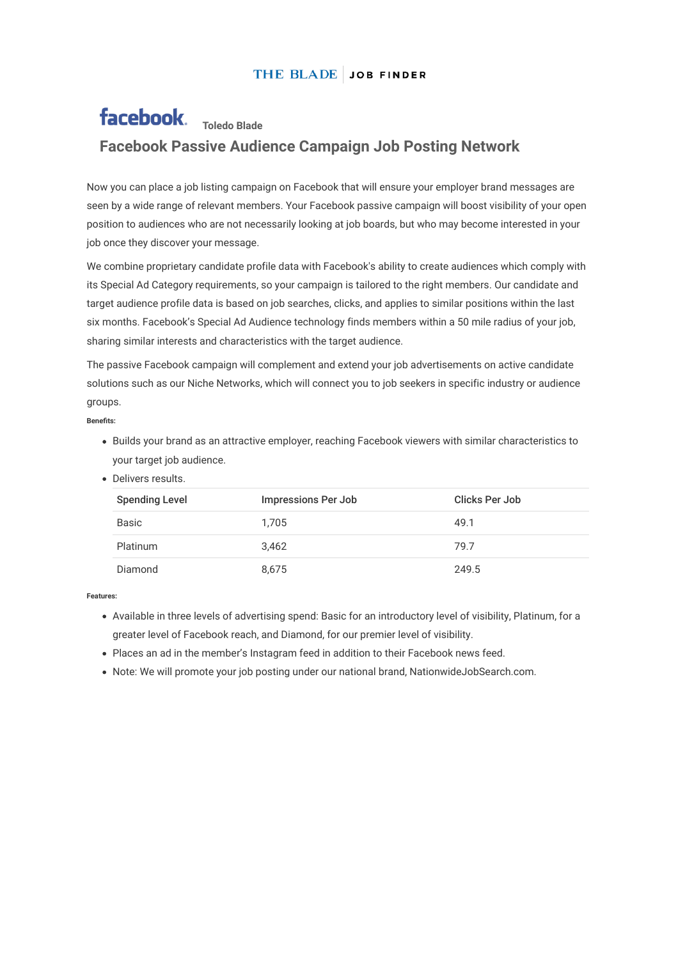## THE BLADE JOB FINDER

## facebook. Toledo Blade **Facebook Passive Audience Campaign Job Posting Network**

Now you can place a job listing campaign on Facebook that will ensure your employer brand messages are seen by a wide range of relevant members. Your Facebook passive campaign will boost visibility of your open position to audiences who are not necessarily looking at job boards, but who may become interested in your job once they discover your message.

We combine proprietary candidate profile data with Facebook's ability to create audiences which comply with its Special Ad Category requirements, so your campaign is tailored to the right members. Our candidate and target audience profile data is based on job searches, clicks, and applies to similar positions within the last six months. Facebook's Special Ad Audience technology finds members within a 50 mile radius of your job, sharing similar interests and characteristics with the target audience.

The passive Facebook campaign will complement and extend your job advertisements on active candidate solutions such as our Niche Networks, which will connect you to job seekers in specific industry or audience groups.

**Benets:**

- Builds your brand as an attractive employer, reaching Facebook viewers with similar characteristics to your target job audience.
- Delivers results.

| <b>Spending Level</b> | <b>Impressions Per Job</b> | Clicks Per Job |
|-----------------------|----------------------------|----------------|
| Basic                 | 1.705                      | 49.1           |
| <b>Platinum</b>       | 3.462                      | 79.7           |
| Diamond               | 8.675                      | 249.5          |

**Features:**

- Available in three levels of advertising spend: Basic for an introductory level of visibility, Platinum, for a greater level of Facebook reach, and Diamond, for our premier level of visibility.
- Places an ad in the member's Instagram feed in addition to their Facebook news feed.
- Note: We will promote your job posting under our national brand, NationwideJobSearch.com.